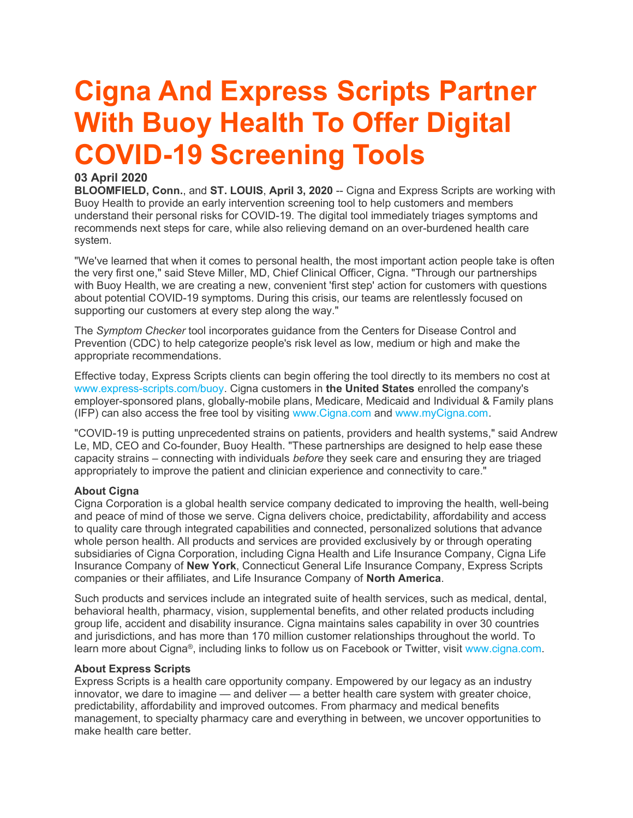# Cigna And Express Scripts Partner With Buoy Health To Offer Digital COVID-19 Screening Tools

## 03 April 2020

BLOOMFIELD, Conn., and ST. LOUIS, April 3, 2020 -- Cigna and Express Scripts are working with Buoy Health to provide an early intervention screening tool to help customers and members understand their personal risks for COVID-19. The digital tool immediately triages symptoms and recommends next steps for care, while also relieving demand on an over-burdened health care system.

"We've learned that when it comes to personal health, the most important action people take is often the very first one," said Steve Miller, MD, Chief Clinical Officer, Cigna. "Through our partnerships with Buoy Health, we are creating a new, convenient 'first step' action for customers with questions about potential COVID-19 symptoms. During this crisis, our teams are relentlessly focused on supporting our customers at every step along the way."

The Symptom Checker tool incorporates guidance from the Centers for Disease Control and Prevention (CDC) to help categorize people's risk level as low, medium or high and make the appropriate recommendations.

Effective today, Express Scripts clients can begin offering the tool directly to its members no cost at www.express-scripts.com/buoy. Cigna customers in the United States enrolled the company's employer-sponsored plans, globally-mobile plans, Medicare, Medicaid and Individual & Family plans (IFP) can also access the free tool by visiting www.Cigna.com and www.myCigna.com.

"COVID-19 is putting unprecedented strains on patients, providers and health systems," said Andrew Le, MD, CEO and Co-founder, Buoy Health. "These partnerships are designed to help ease these capacity strains – connecting with individuals before they seek care and ensuring they are triaged appropriately to improve the patient and clinician experience and connectivity to care."

### **About Cigna**

Cigna Corporation is a global health service company dedicated to improving the health, well-being and peace of mind of those we serve. Cigna delivers choice, predictability, affordability and access to quality care through integrated capabilities and connected, personalized solutions that advance whole person health. All products and services are provided exclusively by or through operating subsidiaries of Cigna Corporation, including Cigna Health and Life Insurance Company, Cigna Life Insurance Company of New York, Connecticut General Life Insurance Company, Express Scripts companies or their affiliates, and Life Insurance Company of North America.

Such products and services include an integrated suite of health services, such as medical, dental, behavioral health, pharmacy, vision, supplemental benefits, and other related products including group life, accident and disability insurance. Cigna maintains sales capability in over 30 countries and jurisdictions, and has more than 170 million customer relationships throughout the world. To learn more about Cigna®, including links to follow us on Facebook or Twitter, visit www.cigna.com.

### About Express Scripts

Express Scripts is a health care opportunity company. Empowered by our legacy as an industry innovator, we dare to imagine — and deliver — a better health care system with greater choice, predictability, affordability and improved outcomes. From pharmacy and medical benefits management, to specialty pharmacy care and everything in between, we uncover opportunities to make health care better.